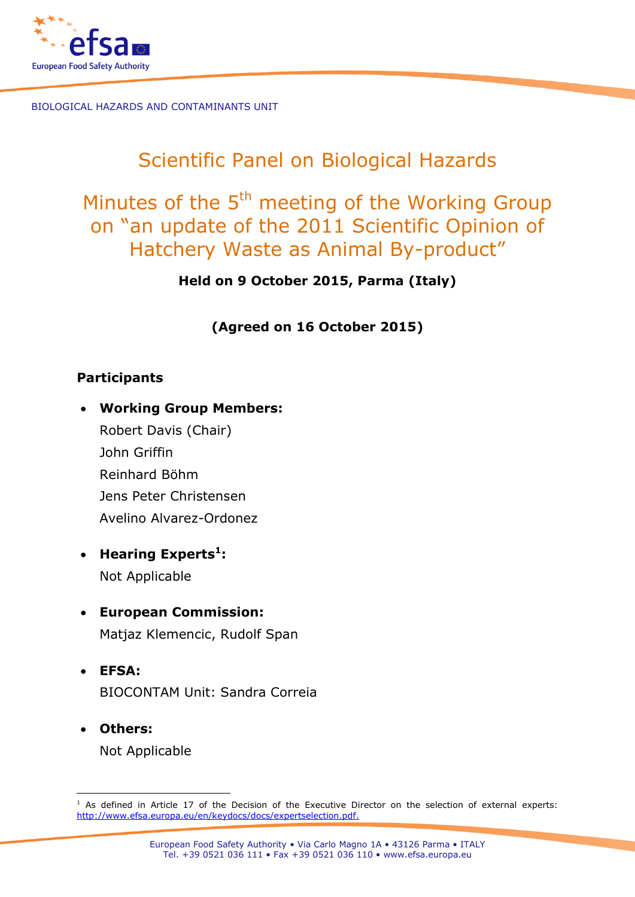

# Scientific Panel on Biological Hazards

# Minutes of the 5<sup>th</sup> meeting of the Working Group on "an update of the 2011 Scientific Opinion of Hatchery Waste as Animal By-product"

**Held on 9 October 2015, Parma (Italy)** 

**(Agreed on 16 October 2015)**

### **Participants**

- **Working Group Members:**
	- Robert Davis (Chair) John Griffin Reinhard Böhm Jens Peter Christensen Avelino Alvarez-Ordonez
- **Hearing Experts<sup>1</sup> :** Not Applicable
- **European Commission:** Matjaz Klemencic, Rudolf Span
- **EFSA:**  BIOCONTAM Unit: Sandra Correia
- **Others:** Not Applicable

-

 $1$  As defined in Article 17 of the Decision of the Executive Director on the selection of external experts: [http://www.efsa.europa.eu/en/keydocs/docs/expertselection.pdf.](http://www.efsa.europa.eu/en/keydocs/docs/expertselection.pdf)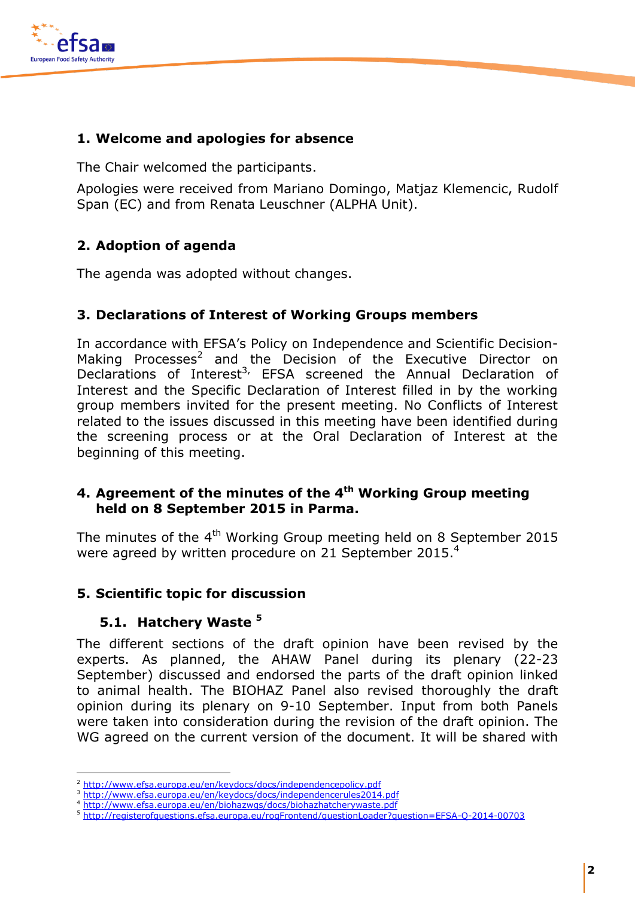

#### **1. Welcome and apologies for absence**

The Chair welcomed the participants.

Apologies were received from Mariano Domingo, Matjaz Klemencic, Rudolf Span (EC) and from Renata Leuschner (ALPHA Unit).

### **2. Adoption of agenda**

The agenda was adopted without changes.

#### **3. Declarations of Interest of Working Groups members**

In accordance with EFSA's Policy on Independence and Scientific Decision-Making Processes<sup>2</sup> and the Decision of the Executive Director on Declarations of Interest<sup>3,</sup> EFSA screened the Annual Declaration of Interest and the Specific Declaration of Interest filled in by the working group members invited for the present meeting. No Conflicts of Interest related to the issues discussed in this meeting have been identified during the screening process or at the Oral Declaration of Interest at the beginning of this meeting.

#### **4. Agreement of the minutes of the 4 th Working Group meeting held on 8 September 2015 in Parma.**

The minutes of the 4<sup>th</sup> Working Group meeting held on 8 September 2015 were agreed by written procedure on 21 September 2015.<sup>4</sup>

#### **5. Scientific topic for discussion**

#### **5.1. Hatchery Waste <sup>5</sup>**

-

The different sections of the draft opinion have been revised by the experts. As planned, the AHAW Panel during its plenary (22-23 September) discussed and endorsed the parts of the draft opinion linked to animal health. The BIOHAZ Panel also revised thoroughly the draft opinion during its plenary on 9-10 September. Input from both Panels were taken into consideration during the revision of the draft opinion. The WG agreed on the current version of the document. It will be shared with

<sup>2</sup> <http://www.efsa.europa.eu/en/keydocs/docs/independencepolicy.pdf>

<http://www.efsa.europa.eu/en/keydocs/docs/independencerules2014.pdf>

<sup>4</sup> <http://www.efsa.europa.eu/en/biohazwgs/docs/biohazhatcherywaste.pdf>

<sup>5</sup> <http://registerofquestions.efsa.europa.eu/roqFrontend/questionLoader?question=EFSA-Q-2014-00703>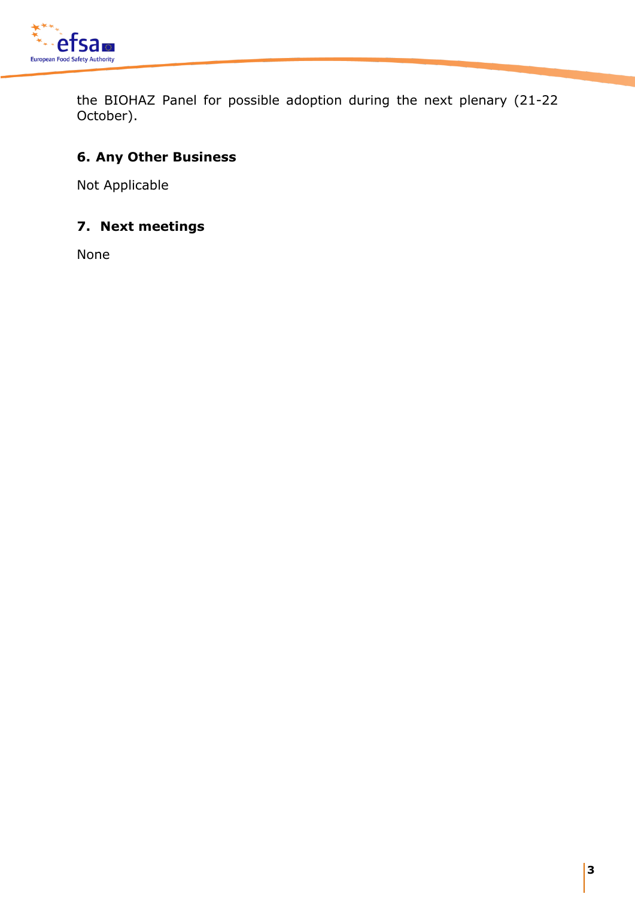

the BIOHAZ Panel for possible adoption during the next plenary (21-22 October).

## **6. Any Other Business**

Not Applicable

## **7. Next meetings**

None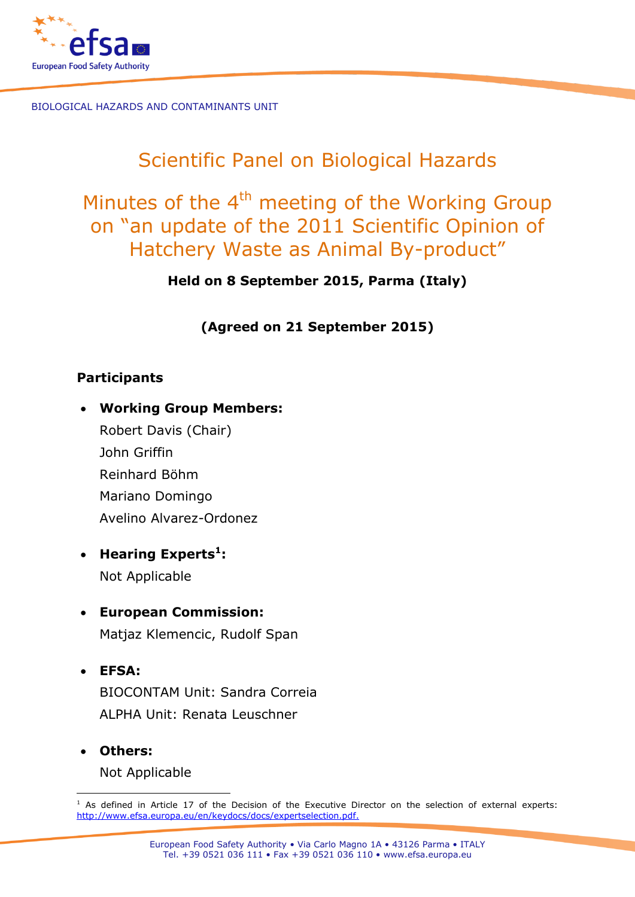

# Scientific Panel on Biological Hazards

# Minutes of the 4<sup>th</sup> meeting of the Working Group on "an update of the 2011 Scientific Opinion of Hatchery Waste as Animal By-product"

**Held on 8 September 2015, Parma (Italy)** 

## **(Agreed on 21 September 2015)**

## **Participants**

- **Working Group Members:**
	- Robert Davis (Chair) John Griffin Reinhard Böhm Mariano Domingo Avelino Alvarez-Ordonez
- **Hearing Experts<sup>1</sup> :** Not Applicable
- **European Commission:** Matjaz Klemencic, Rudolf Span
- **EFSA:**  BIOCONTAM Unit: Sandra Correia ALPHA Unit: Renata Leuschner
- **Others:** Not Applicable

<sup>-</sup> $1$  As defined in Article 17 of the Decision of the Executive Director on the selection of external experts: [http://www.efsa.europa.eu/en/keydocs/docs/expertselection.pdf.](http://www.efsa.europa.eu/en/keydocs/docs/expertselection.pdf)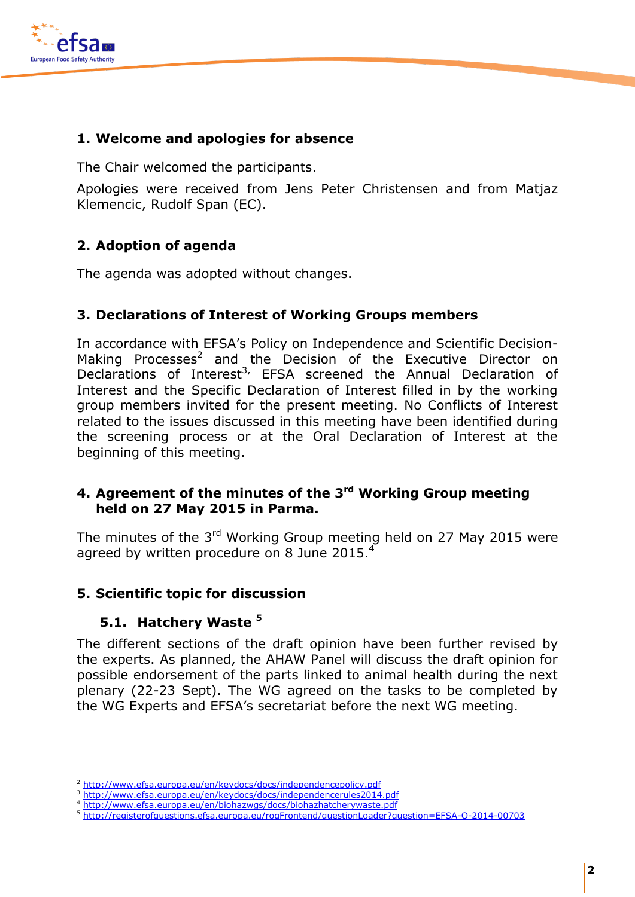

#### **1. Welcome and apologies for absence**

The Chair welcomed the participants.

Apologies were received from Jens Peter Christensen and from Matjaz Klemencic, Rudolf Span (EC).

### **2. Adoption of agenda**

The agenda was adopted without changes.

#### **3. Declarations of Interest of Working Groups members**

In accordance with EFSA's Policy on Independence and Scientific Decision-Making Processes<sup>2</sup> and the Decision of the Executive Director on Declarations of Interest<sup>3,</sup> EFSA screened the Annual Declaration of Interest and the Specific Declaration of Interest filled in by the working group members invited for the present meeting. No Conflicts of Interest related to the issues discussed in this meeting have been identified during the screening process or at the Oral Declaration of Interest at the beginning of this meeting.

#### **4. Agreement of the minutes of the 3 rd Working Group meeting held on 27 May 2015 in Parma.**

The minutes of the 3<sup>rd</sup> Working Group meeting held on 27 May 2015 were agreed by written procedure on 8 June 2015. $<sup>4</sup>$ </sup>

#### **5. Scientific topic for discussion**

### **5.1. Hatchery Waste <sup>5</sup>**

-

The different sections of the draft opinion have been further revised by the experts. As planned, the AHAW Panel will discuss the draft opinion for possible endorsement of the parts linked to animal health during the next plenary (22-23 Sept). The WG agreed on the tasks to be completed by the WG Experts and EFSA's secretariat before the next WG meeting.

<http://www.efsa.europa.eu/en/keydocs/docs/independencepolicy.pdf>

<http://www.efsa.europa.eu/en/keydocs/docs/independencerules2014.pdf>

<sup>4</sup> <http://www.efsa.europa.eu/en/biohazwgs/docs/biohazhatcherywaste.pdf>

<sup>5</sup> <http://registerofquestions.efsa.europa.eu/roqFrontend/questionLoader?question=EFSA-Q-2014-00703>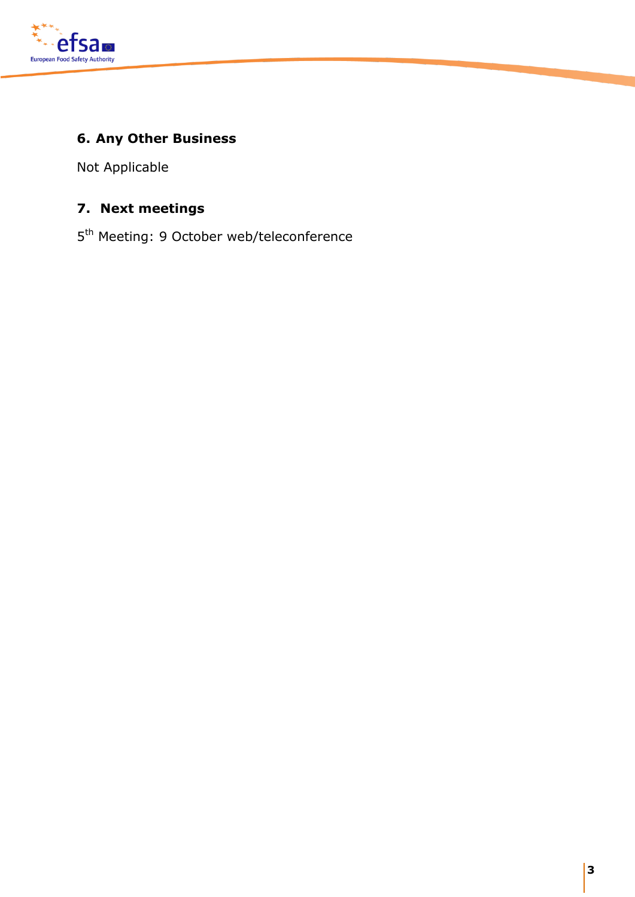

## **6. Any Other Business**

Not Applicable

## **7. Next meetings**

5<sup>th</sup> Meeting: 9 October web/teleconference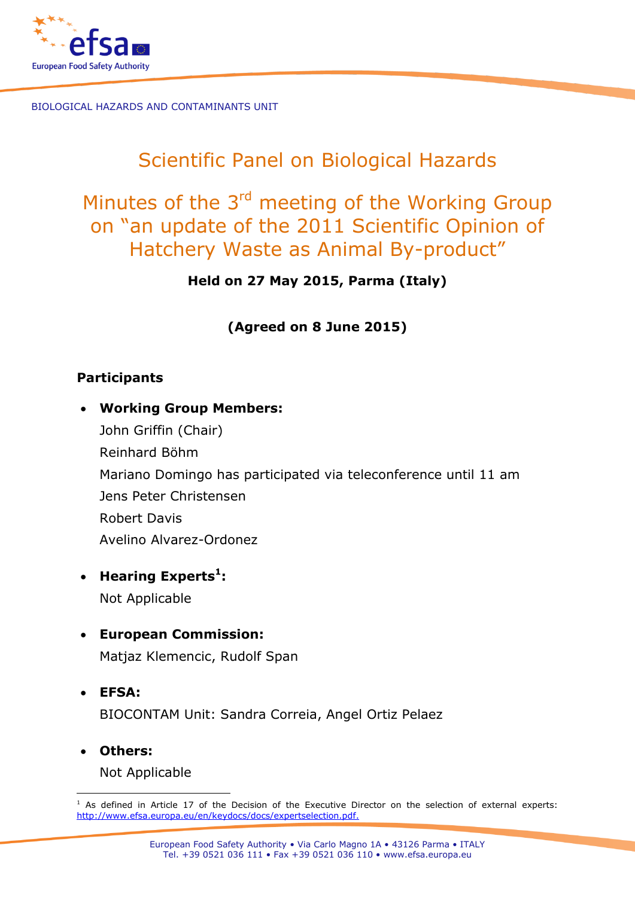

# Scientific Panel on Biological Hazards

# Minutes of the 3<sup>rd</sup> meeting of the Working Group on "an update of the 2011 Scientific Opinion of Hatchery Waste as Animal By-product"

**Held on 27 May 2015, Parma (Italy)** 

**(Agreed on 8 June 2015)**

## **Participants**

- **Working Group Members:** John Griffin (Chair) Reinhard Böhm Mariano Domingo has participated via teleconference until 11 am Jens Peter Christensen Robert Davis Avelino Alvarez-Ordonez
- **Hearing Experts<sup>1</sup> :** Not Applicable
- **European Commission:** Matjaz Klemencic, Rudolf Span
- **EFSA:**  BIOCONTAM Unit: Sandra Correia, Angel Ortiz Pelaez
- **Others:**

Not Applicable

<sup>-</sup> $1$  As defined in Article 17 of the Decision of the Executive Director on the selection of external experts: [http://www.efsa.europa.eu/en/keydocs/docs/expertselection.pdf.](http://www.efsa.europa.eu/en/keydocs/docs/expertselection.pdf)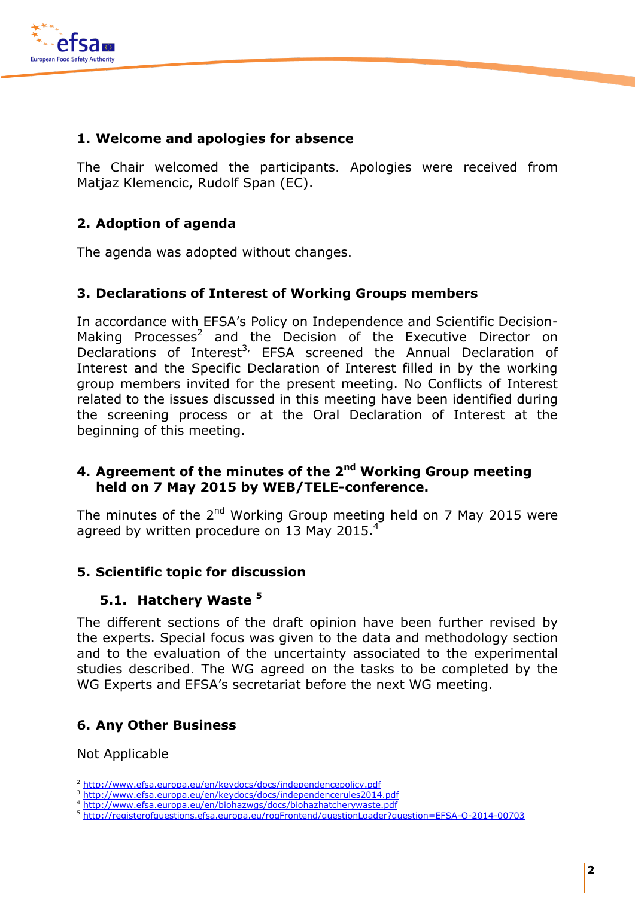

#### **1. Welcome and apologies for absence**

The Chair welcomed the participants. Apologies were received from Matjaz Klemencic, Rudolf Span (EC).

### **2. Adoption of agenda**

The agenda was adopted without changes.

#### **3. Declarations of Interest of Working Groups members**

In accordance with EFSA's Policy on Independence and Scientific Decision-Making Processes<sup>2</sup> and the Decision of the Executive Director on Declarations of Interest<sup>3,</sup> EFSA screened the Annual Declaration of Interest and the Specific Declaration of Interest filled in by the working group members invited for the present meeting. No Conflicts of Interest related to the issues discussed in this meeting have been identified during the screening process or at the Oral Declaration of Interest at the beginning of this meeting.

#### **4. Agreement of the minutes of the 2<sup>nd</sup> Working Group meeting held on 7 May 2015 by WEB/TELE-conference.**

The minutes of the  $2^{nd}$  Working Group meeting held on 7 May 2015 were agreed by written procedure on 13 May 2015. $<sup>4</sup>$ </sup>

### **5. Scientific topic for discussion**

### **5.1. Hatchery Waste <sup>5</sup>**

The different sections of the draft opinion have been further revised by the experts. Special focus was given to the data and methodology section and to the evaluation of the uncertainty associated to the experimental studies described. The WG agreed on the tasks to be completed by the WG Experts and EFSA's secretariat before the next WG meeting.

### **6. Any Other Business**

Not Applicable

<sup>-</sup><sup>2</sup> <http://www.efsa.europa.eu/en/keydocs/docs/independencepolicy.pdf>

<http://www.efsa.europa.eu/en/keydocs/docs/independencerules2014.pdf>

<sup>4</sup> <http://www.efsa.europa.eu/en/biohazwgs/docs/biohazhatcherywaste.pdf>

<sup>5</sup> <http://registerofquestions.efsa.europa.eu/roqFrontend/questionLoader?question=EFSA-Q-2014-00703>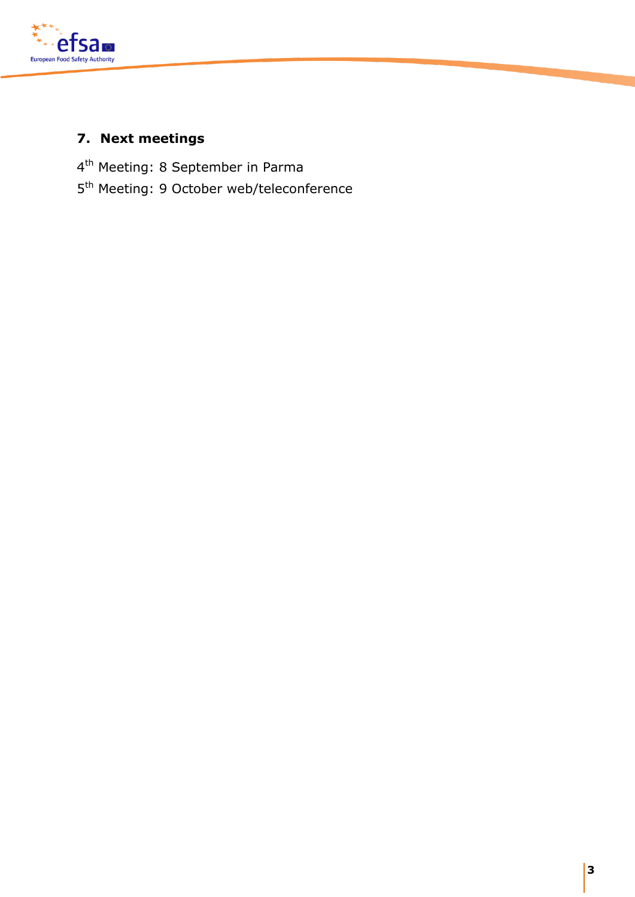

## **7. Next meetings**

4<sup>th</sup> Meeting: 8 September in Parma

5<sup>th</sup> Meeting: 9 October web/teleconference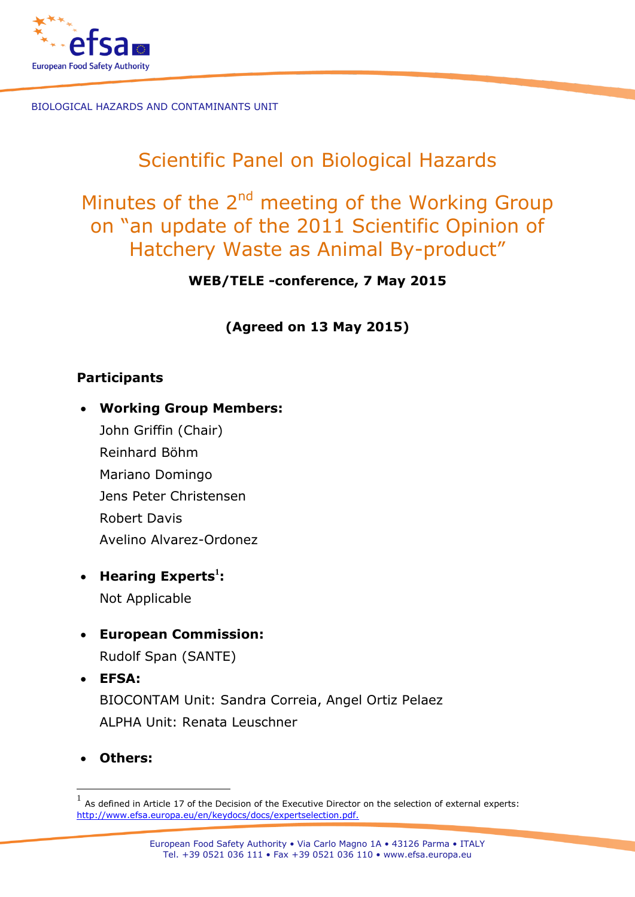

# Scientific Panel on Biological Hazards

# Minutes of the 2<sup>nd</sup> meeting of the Working Group on "an update of the 2011 Scientific Opinion of Hatchery Waste as Animal By-product"

**WEB/TELE -conference, 7 May 2015**

**(Agreed on 13 May 2015)**

## **Participants**

- **Working Group Members:**
	- John Griffin (Chair) Reinhard Böhm Mariano Domingo Jens Peter Christensen Robert Davis Avelino Alvarez-Ordonez
- **Hearing Experts<sup>1</sup> :** Not Applicable
- **European Commission:**
	- Rudolf Span (SANTE)
- **EFSA:**  BIOCONTAM Unit: Sandra Correia, Angel Ortiz Pelaez ALPHA Unit: Renata Leuschner
- **Others:**

-

 $<sup>1</sup>$  As defined in Article 17 of the Decision of the Executive Director on the selection of external experts:</sup> [http://www.efsa.europa.eu/en/keydocs/docs/expertselection.pdf.](http://www.efsa.europa.eu/en/keydocs/docs/expertselection.pdf)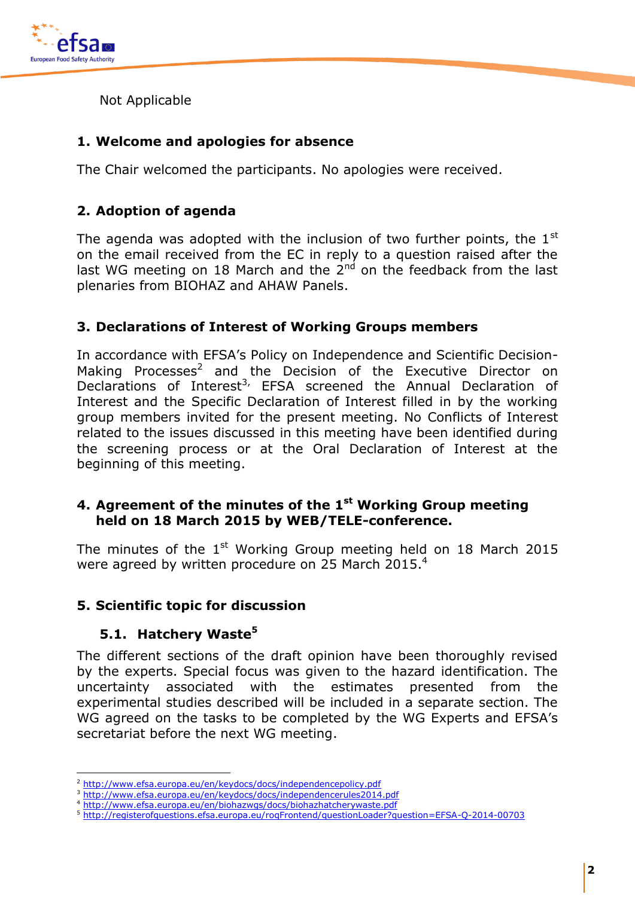

Not Applicable

### **1. Welcome and apologies for absence**

The Chair welcomed the participants. No apologies were received.

### **2. Adoption of agenda**

The agenda was adopted with the inclusion of two further points, the  $1<sup>st</sup>$ on the email received from the EC in reply to a question raised after the last WG meeting on 18 March and the  $2^{nd}$  on the feedback from the last plenaries from BIOHAZ and AHAW Panels.

#### **3. Declarations of Interest of Working Groups members**

In accordance with EFSA's Policy on Independence and Scientific Decision-Making Processes<sup>2</sup> and the Decision of the Executive Director on Declarations of Interest<sup>3,</sup> EFSA screened the Annual Declaration of Interest and the Specific Declaration of Interest filled in by the working group members invited for the present meeting. No Conflicts of Interest related to the issues discussed in this meeting have been identified during the screening process or at the Oral Declaration of Interest at the beginning of this meeting.

#### **4. Agreement of the minutes of the 1 st Working Group meeting held on 18 March 2015 by WEB/TELE-conference.**

The minutes of the  $1^{\text{st}}$  Working Group meeting held on 18 March 2015 were agreed by written procedure on 25 March 2015.<sup>4</sup>

#### **5. Scientific topic for discussion**

### **5.1. Hatchery Waste<sup>5</sup>**

-

The different sections of the draft opinion have been thoroughly revised by the experts. Special focus was given to the hazard identification. The uncertainty associated with the estimates presented from the experimental studies described will be included in a separate section. The WG agreed on the tasks to be completed by the WG Experts and EFSA's secretariat before the next WG meeting.

<sup>2</sup> <http://www.efsa.europa.eu/en/keydocs/docs/independencepolicy.pdf>

<http://www.efsa.europa.eu/en/keydocs/docs/independencerules2014.pdf>

<sup>4</sup> <http://www.efsa.europa.eu/en/biohazwgs/docs/biohazhatcherywaste.pdf>

<sup>5</sup> <http://registerofquestions.efsa.europa.eu/roqFrontend/questionLoader?question=EFSA-Q-2014-00703>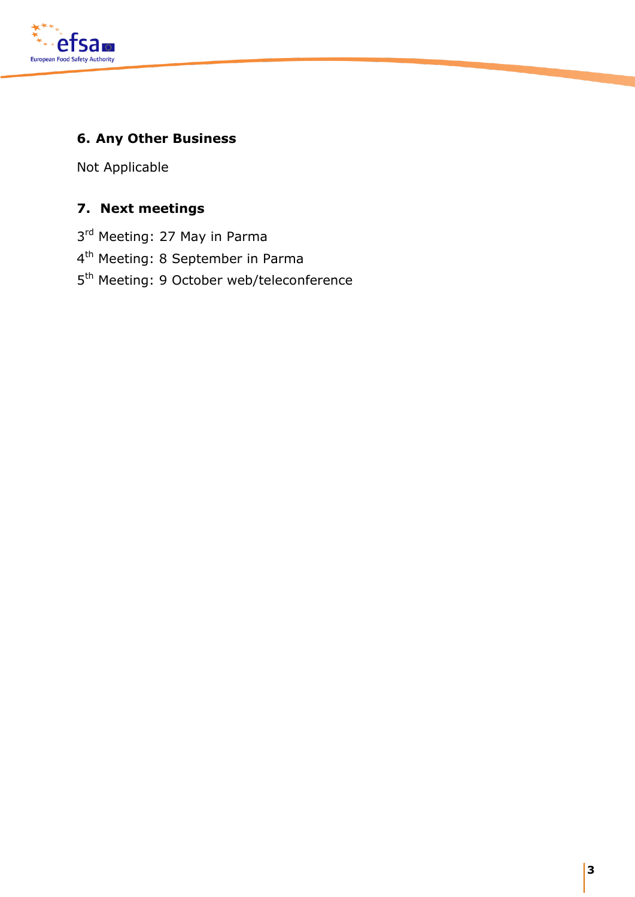

## **6. Any Other Business**

Not Applicable

## **7. Next meetings**

- 3<sup>rd</sup> Meeting: 27 May in Parma
- 4<sup>th</sup> Meeting: 8 September in Parma
- 5<sup>th</sup> Meeting: 9 October web/teleconference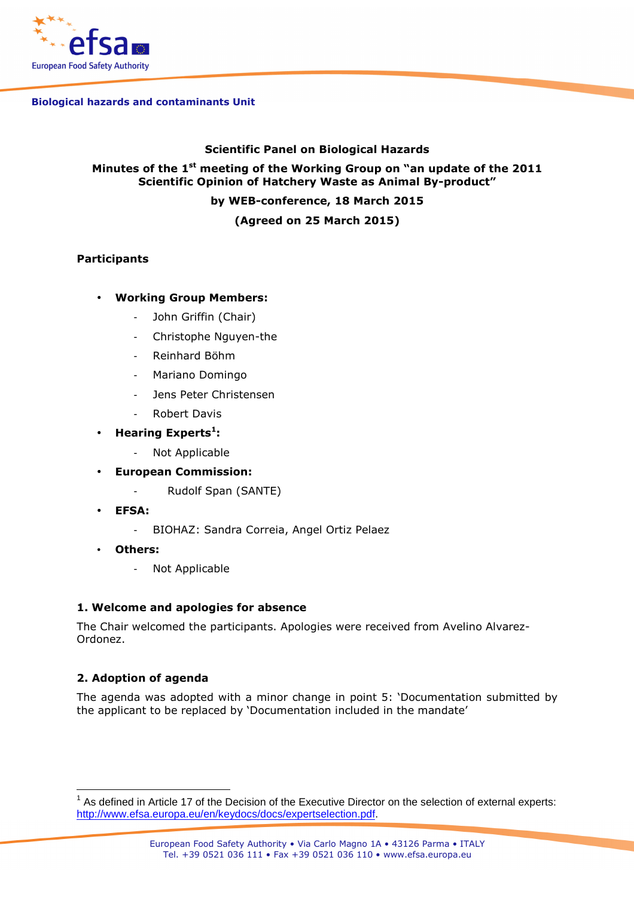

#### **Biological hazards and contaminants Unit**

#### **Scientific Panel on Biological Hazards**

#### **Minutes of the 1st meeting of the Working Group on "an update of the 2011 Scientific Opinion of Hatchery Waste as Animal By-product"**

**by WEB-conference, 18 March 2015** 

**(Agreed on 25 March 2015)** 

#### **Participants**

#### • **Working Group Members:**

- John Griffin (Chair)
- Christophe Nguyen-the
- Reinhard Böhm
- Mariano Domingo
- Jens Peter Christensen
- Robert Davis

#### • **Hearing Experts<sup>1</sup> :**

- Not Applicable
- **European Commission:** 
	- Rudolf Span (SANTE)
- **EFSA:** 
	- BIOHAZ: Sandra Correia, Angel Ortiz Pelaez
- **Others:** 
	- Not Applicable

#### **1. Welcome and apologies for absence**

The Chair welcomed the participants. Apologies were received from Avelino Alvarez-Ordonez.

#### **2. Adoption of agenda**

 $\overline{1}$ 

The agenda was adopted with a minor change in point 5: 'Documentation submitted by the applicant to be replaced by 'Documentation included in the mandate'

 $1$  As defined in Article 17 of the Decision of the Executive Director on the selection of external experts: http://www.efsa.europa.eu/en/keydocs/docs/expertselection.pdf.